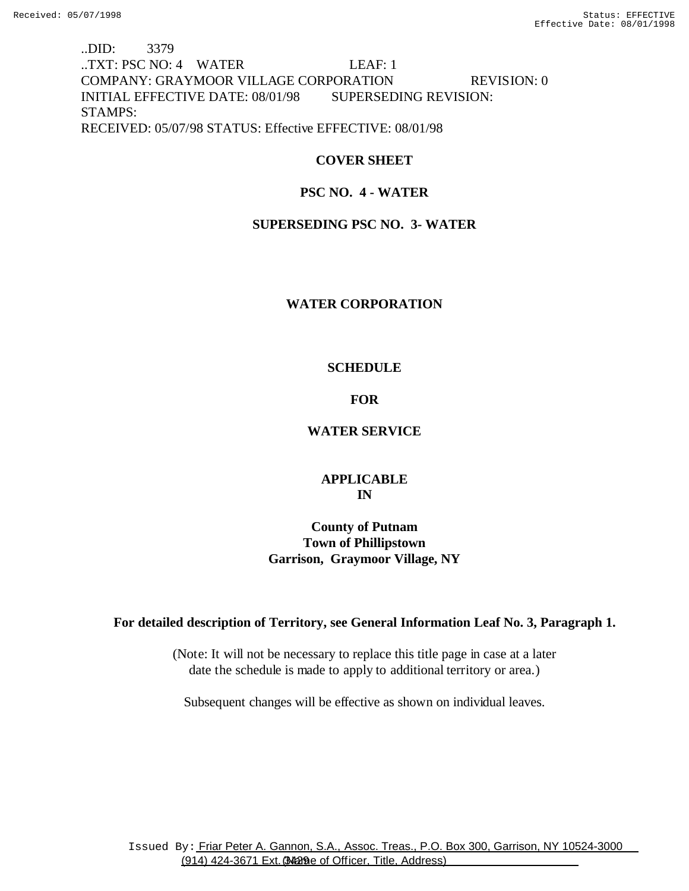# ..DID: 3379 ..TXT: PSC NO: 4 WATER LEAF: 1 COMPANY: GRAYMOOR VILLAGE CORPORATION REVISION: 0 INITIAL EFFECTIVE DATE: 08/01/98 SUPERSEDING REVISION: STAMPS: RECEIVED: 05/07/98 STATUS: Effective EFFECTIVE: 08/01/98

## **COVER SHEET**

## **PSC NO. 4 - WATER**

### **SUPERSEDING PSC NO. 3- WATER**

### **WATER CORPORATION**

### **SCHEDULE**

### **FOR**

### **WATER SERVICE**

### **APPLICABLE IN**

# **County of Putnam Town of Phillipstown Garrison, Graymoor Village, NY**

### **For detailed description of Territory, see General Information Leaf No. 3, Paragraph 1.**

(Note: It will not be necessary to replace this title page in case at a later date the schedule is made to apply to additional territory or area.)

Subsequent changes will be effective as shown on individual leaves.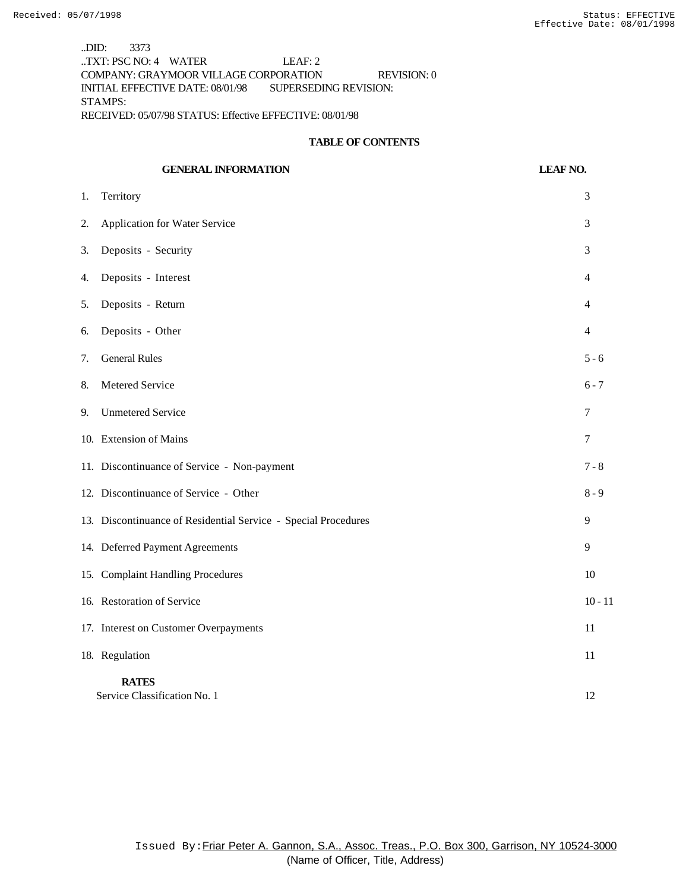..DID: 3373 ..TXT: PSC NO: 4 WATER LEAF: 2 COMPANY: GRAYMOOR VILLAGE CORPORATION REVISION: 0 INITIAL EFFECTIVE DATE: 08/01/98 SUPERSEDING REVISION: STAMPS: RECEIVED: 05/07/98 STATUS: Effective EFFECTIVE: 08/01/98

#### **TABLE OF CONTENTS**

|    | <b>GENERAL INFORMATION</b>                                     | <b>LEAF NO.</b>  |
|----|----------------------------------------------------------------|------------------|
| 1. | Territory                                                      | 3                |
| 2. | Application for Water Service                                  | 3                |
| 3. | Deposits - Security                                            | 3                |
| 4. | Deposits - Interest                                            | 4                |
| 5. | Deposits - Return                                              | 4                |
| 6. | Deposits - Other                                               | $\overline{4}$   |
| 7. | <b>General Rules</b>                                           | $5 - 6$          |
| 8. | Metered Service                                                | $6 - 7$          |
| 9. | <b>Unmetered Service</b>                                       | $\boldsymbol{7}$ |
|    | 10. Extension of Mains                                         | 7                |
|    | 11. Discontinuance of Service - Non-payment                    | $7 - 8$          |
|    | 12. Discontinuance of Service - Other                          | $8 - 9$          |
|    | 13. Discontinuance of Residential Service - Special Procedures | 9                |
|    | 14. Deferred Payment Agreements                                | 9                |
|    | 15. Complaint Handling Procedures                              | 10               |
|    | 16. Restoration of Service                                     | $10 - 11$        |
|    | 17. Interest on Customer Overpayments                          | 11               |
|    | 18. Regulation                                                 | 11               |
|    | <b>RATES</b><br>Service Classification No. 1                   | 12               |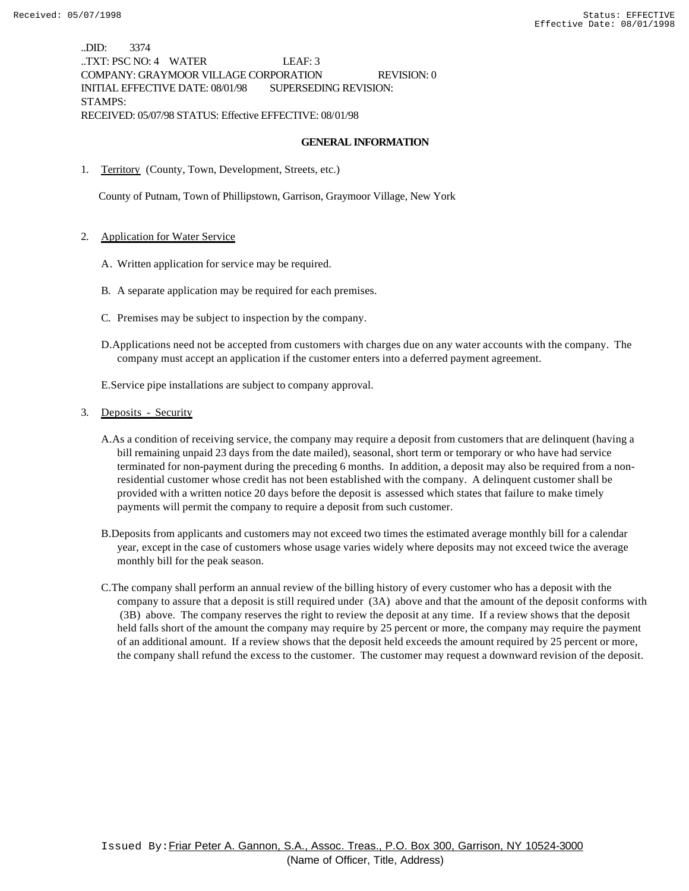..DID: 3374 ..TXT: PSC NO: 4 WATER LEAF: 3 COMPANY: GRAYMOOR VILLAGE CORPORATION REVISION: 0 INITIAL EFFECTIVE DATE: 08/01/98 SUPERSEDING REVISION: STAMPS: RECEIVED: 05/07/98 STATUS: Effective EFFECTIVE: 08/01/98

#### **GENERAL INFORMATION**

1. Territory (County, Town, Development, Streets, etc.)

County of Putnam, Town of Phillipstown, Garrison, Graymoor Village, New York

#### 2. Application for Water Service

- A. Written application for service may be required.
- B. A separate application may be required for each premises.
- C. Premises may be subject to inspection by the company.
- D.Applications need not be accepted from customers with charges due on any water accounts with the company. The company must accept an application if the customer enters into a deferred payment agreement.

E.Service pipe installations are subject to company approval.

#### 3. Deposits - Security

- A.As a condition of receiving service, the company may require a deposit from customers that are delinquent (having a bill remaining unpaid 23 days from the date mailed), seasonal, short term or temporary or who have had service terminated for non-payment during the preceding 6 months. In addition, a deposit may also be required from a nonresidential customer whose credit has not been established with the company. A delinquent customer shall be provided with a written notice 20 days before the deposit is assessed which states that failure to make timely payments will permit the company to require a deposit from such customer.
- B.Deposits from applicants and customers may not exceed two times the estimated average monthly bill for a calendar year, except in the case of customers whose usage varies widely where deposits may not exceed twice the average monthly bill for the peak season.
- C.The company shall perform an annual review of the billing history of every customer who has a deposit with the company to assure that a deposit is still required under (3A) above and that the amount of the deposit conforms with (3B) above. The company reserves the right to review the deposit at any time. If a review shows that the deposit held falls short of the amount the company may require by 25 percent or more, the company may require the payment of an additional amount. If a review shows that the deposit held exceeds the amount required by 25 percent or more, the company shall refund the excess to the customer. The customer may request a downward revision of the deposit.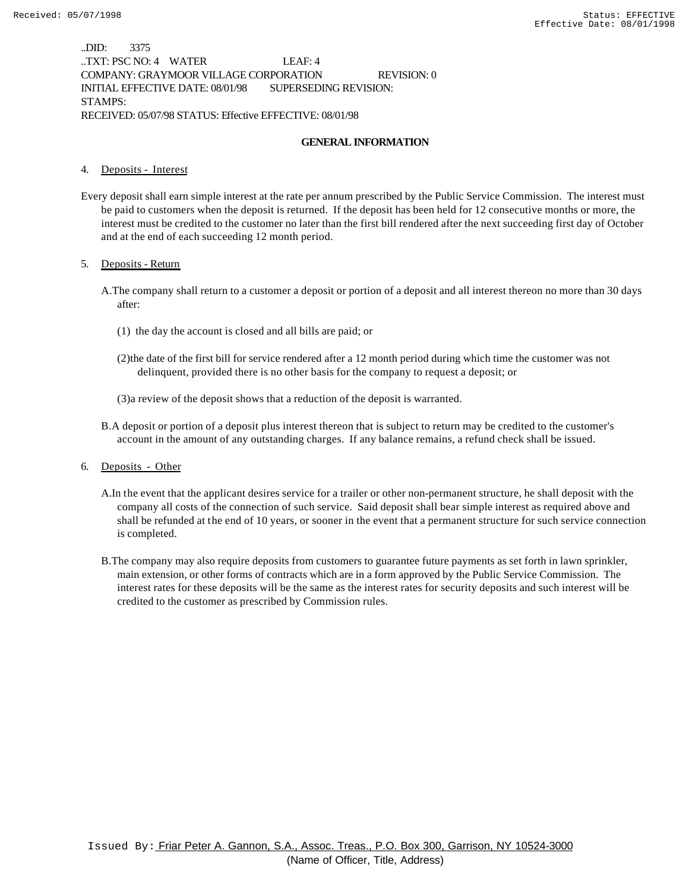..DID: 3375 ..TXT: PSC NO: 4 WATER LEAF: 4 COMPANY: GRAYMOOR VILLAGE CORPORATION REVISION: 0 INITIAL EFFECTIVE DATE: 08/01/98 SUPERSEDING REVISION: STAMPS: RECEIVED: 05/07/98 STATUS: Effective EFFECTIVE: 08/01/98

### **GENERAL INFORMATION**

#### 4. Deposits - Interest

Every deposit shall earn simple interest at the rate per annum prescribed by the Public Service Commission. The interest must be paid to customers when the deposit is returned. If the deposit has been held for 12 consecutive months or more, the interest must be credited to the customer no later than the first bill rendered after the next succeeding first day of October and at the end of each succeeding 12 month period.

#### 5. Deposits - Return

- A.The company shall return to a customer a deposit or portion of a deposit and all interest thereon no more than 30 days after:
	- (1) the day the account is closed and all bills are paid; or
	- (2)the date of the first bill for service rendered after a 12 month period during which time the customer was not delinquent, provided there is no other basis for the company to request a deposit; or
	- (3)a review of the deposit shows that a reduction of the deposit is warranted.
- B.A deposit or portion of a deposit plus interest thereon that is subject to return may be credited to the customer's account in the amount of any outstanding charges. If any balance remains, a refund check shall be issued.
- 6. Deposits Other
	- A.In the event that the applicant desires service for a trailer or other non-permanent structure, he shall deposit with the company all costs of the connection of such service. Said deposit shall bear simple interest as required above and shall be refunded at the end of 10 years, or sooner in the event that a permanent structure for such service connection is completed.
	- B.The company may also require deposits from customers to guarantee future payments as set forth in lawn sprinkler, main extension, or other forms of contracts which are in a form approved by the Public Service Commission. The interest rates for these deposits will be the same as the interest rates for security deposits and such interest will be credited to the customer as prescribed by Commission rules.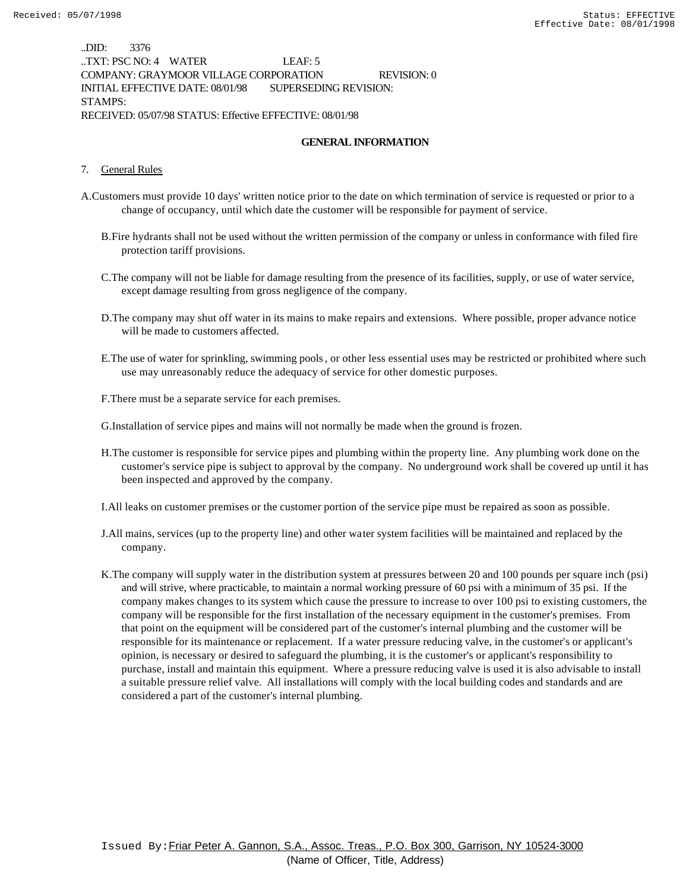..DID: 3376 ..TXT: PSC NO: 4 WATER LEAF: 5 COMPANY: GRAYMOOR VILLAGE CORPORATION REVISION: 0 INITIAL EFFECTIVE DATE: 08/01/98 SUPERSEDING REVISION: STAMPS: RECEIVED: 05/07/98 STATUS: Effective EFFECTIVE: 08/01/98

### **GENERAL INFORMATION**

#### 7. General Rules

- A.Customers must provide 10 days' written notice prior to the date on which termination of service is requested or prior to a change of occupancy, until which date the customer will be responsible for payment of service.
	- B.Fire hydrants shall not be used without the written permission of the company or unless in conformance with filed fire protection tariff provisions.
	- C.The company will not be liable for damage resulting from the presence of its facilities, supply, or use of water service, except damage resulting from gross negligence of the company.
	- D.The company may shut off water in its mains to make repairs and extensions. Where possible, proper advance notice will be made to customers affected.
	- E.The use of water for sprinkling, swimming pools, or other less essential uses may be restricted or prohibited where such use may unreasonably reduce the adequacy of service for other domestic purposes.
	- F.There must be a separate service for each premises.

G.Installation of service pipes and mains will not normally be made when the ground is frozen.

- H.The customer is responsible for service pipes and plumbing within the property line. Any plumbing work done on the customer's service pipe is subject to approval by the company. No underground work shall be covered up until it has been inspected and approved by the company.
- I.All leaks on customer premises or the customer portion of the service pipe must be repaired as soon as possible.
- J.All mains, services (up to the property line) and other water system facilities will be maintained and replaced by the company.
- K.The company will supply water in the distribution system at pressures between 20 and 100 pounds per square inch (psi) and will strive, where practicable, to maintain a normal working pressure of 60 psi with a minimum of 35 psi. If the company makes changes to its system which cause the pressure to increase to over 100 psi to existing customers, the company will be responsible for the first installation of the necessary equipment in the customer's premises. From that point on the equipment will be considered part of the customer's internal plumbing and the customer will be responsible for its maintenance or replacement. If a water pressure reducing valve, in the customer's or applicant's opinion, is necessary or desired to safeguard the plumbing, it is the customer's or applicant's responsibility to purchase, install and maintain this equipment. Where a pressure reducing valve is used it is also advisable to install a suitable pressure relief valve. All installations will comply with the local building codes and standards and are considered a part of the customer's internal plumbing.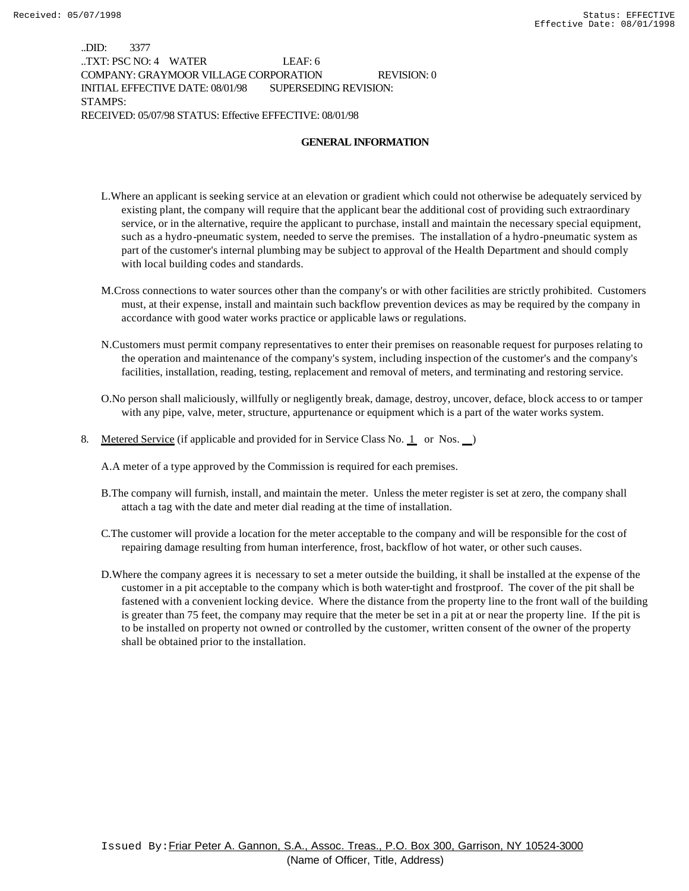..DID: 3377 ..TXT: PSC NO: 4 WATER LEAF: 6 COMPANY: GRAYMOOR VILLAGE CORPORATION REVISION: 0 INITIAL EFFECTIVE DATE: 08/01/98 SUPERSEDING REVISION: STAMPS: RECEIVED: 05/07/98 STATUS: Effective EFFECTIVE: 08/01/98

### **GENERAL INFORMATION**

- L.Where an applicant is seeking service at an elevation or gradient which could not otherwise be adequately serviced by existing plant, the company will require that the applicant bear the additional cost of providing such extraordinary service, or in the alternative, require the applicant to purchase, install and maintain the necessary special equipment, such as a hydro-pneumatic system, needed to serve the premises. The installation of a hydro-pneumatic system as part of the customer's internal plumbing may be subject to approval of the Health Department and should comply with local building codes and standards.
- M.Cross connections to water sources other than the company's or with other facilities are strictly prohibited. Customers must, at their expense, install and maintain such backflow prevention devices as may be required by the company in accordance with good water works practice or applicable laws or regulations.
- N.Customers must permit company representatives to enter their premises on reasonable request for purposes relating to the operation and maintenance of the company's system, including inspection of the customer's and the company's facilities, installation, reading, testing, replacement and removal of meters, and terminating and restoring service.
- O.No person shall maliciously, willfully or negligently break, damage, destroy, uncover, deface, block access to or tamper with any pipe, valve, meter, structure, appurtenance or equipment which is a part of the water works system.
- 8. Metered Service (if applicable and provided for in Service Class No. 1 or Nos. )

A.A meter of a type approved by the Commission is required for each premises.

- B.The company will furnish, install, and maintain the meter. Unless the meter register is set at zero, the company shall attach a tag with the date and meter dial reading at the time of installation.
- C.The customer will provide a location for the meter acceptable to the company and will be responsible for the cost of repairing damage resulting from human interference, frost, backflow of hot water, or other such causes.
- D.Where the company agrees it is necessary to set a meter outside the building, it shall be installed at the expense of the customer in a pit acceptable to the company which is both water-tight and frostproof. The cover of the pit shall be fastened with a convenient locking device. Where the distance from the property line to the front wall of the building is greater than 75 feet, the company may require that the meter be set in a pit at or near the property line. If the pit is to be installed on property not owned or controlled by the customer, written consent of the owner of the property shall be obtained prior to the installation.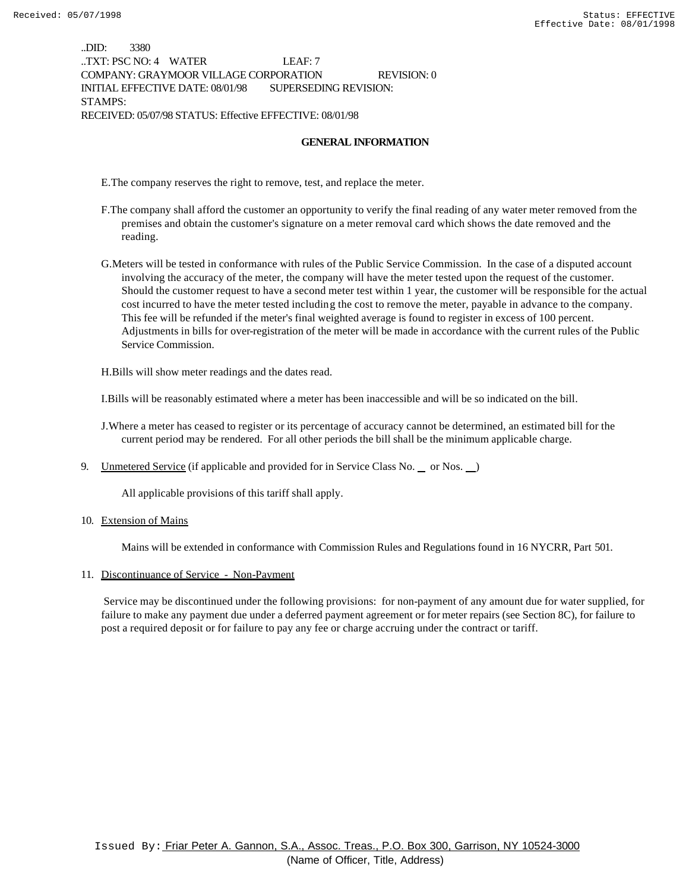..DID: 3380 ..TXT: PSC NO: 4 WATER LEAF: 7 COMPANY: GRAYMOOR VILLAGE CORPORATION REVISION: 0 INITIAL EFFECTIVE DATE: 08/01/98 SUPERSEDING REVISION: STAMPS: RECEIVED: 05/07/98 STATUS: Effective EFFECTIVE: 08/01/98

#### **GENERAL INFORMATION**

E.The company reserves the right to remove, test, and replace the meter.

- F.The company shall afford the customer an opportunity to verify the final reading of any water meter removed from the premises and obtain the customer's signature on a meter removal card which shows the date removed and the reading.
- G.Meters will be tested in conformance with rules of the Public Service Commission. In the case of a disputed account involving the accuracy of the meter, the company will have the meter tested upon the request of the customer. Should the customer request to have a second meter test within 1 year, the customer will be responsible for the actual cost incurred to have the meter tested including the cost to remove the meter, payable in advance to the company. This fee will be refunded if the meter's final weighted average is found to register in excess of 100 percent. Adjustments in bills for over-registration of the meter will be made in accordance with the current rules of the Public Service Commission.

H.Bills will show meter readings and the dates read.

I.Bills will be reasonably estimated where a meter has been inaccessible and will be so indicated on the bill.

- J.Where a meter has ceased to register or its percentage of accuracy cannot be determined, an estimated bill for the current period may be rendered. For all other periods the bill shall be the minimum applicable charge.
- 9. Unmetered Service (if applicable and provided for in Service Class No.  $\equiv$  or Nos.  $\equiv$ )

All applicable provisions of this tariff shall apply.

10. Extension of Mains

Mains will be extended in conformance with Commission Rules and Regulations found in 16 NYCRR, Part 501.

#### 11. Discontinuance of Service - Non-Payment

 Service may be discontinued under the following provisions: for non-payment of any amount due for water supplied, for failure to make any payment due under a deferred payment agreement or for meter repairs (see Section 8C), for failure to post a required deposit or for failure to pay any fee or charge accruing under the contract or tariff.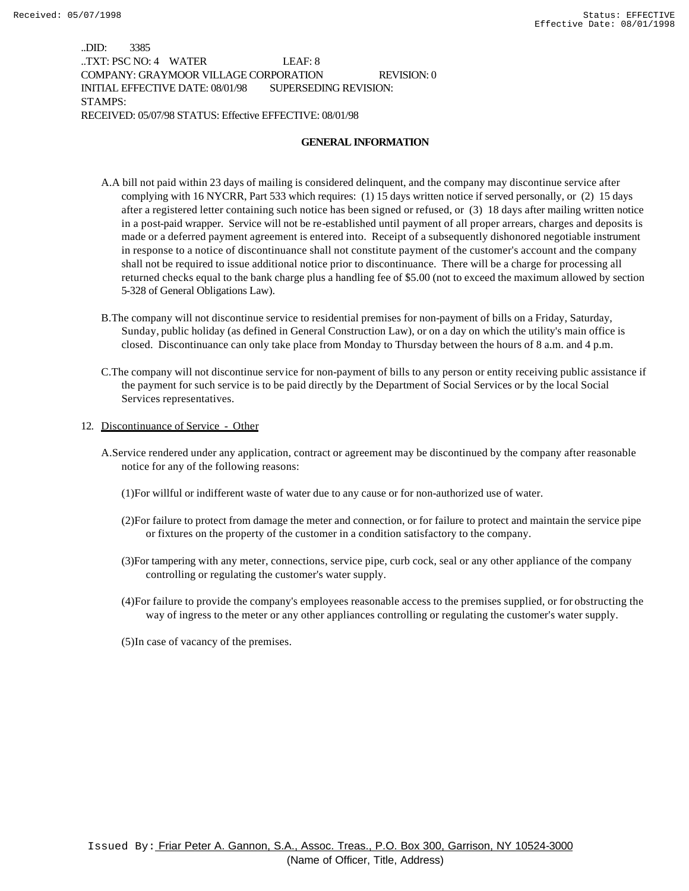..DID: 3385 ..TXT: PSC NO: 4 WATER LEAF: 8 COMPANY: GRAYMOOR VILLAGE CORPORATION REVISION: 0 INITIAL EFFECTIVE DATE: 08/01/98 SUPERSEDING REVISION: STAMPS: RECEIVED: 05/07/98 STATUS: Effective EFFECTIVE: 08/01/98

#### **GENERAL INFORMATION**

- A.A bill not paid within 23 days of mailing is considered delinquent, and the company may discontinue service after complying with 16 NYCRR, Part 533 which requires: (1) 15 days written notice if served personally, or (2) 15 days after a registered letter containing such notice has been signed or refused, or (3) 18 days after mailing written notice in a post-paid wrapper. Service will not be re-established until payment of all proper arrears, charges and deposits is made or a deferred payment agreement is entered into. Receipt of a subsequently dishonored negotiable instrument in response to a notice of discontinuance shall not constitute payment of the customer's account and the company shall not be required to issue additional notice prior to discontinuance. There will be a charge for processing all returned checks equal to the bank charge plus a handling fee of \$5.00 (not to exceed the maximum allowed by section 5-328 of General Obligations Law).
- B.The company will not discontinue service to residential premises for non-payment of bills on a Friday, Saturday, Sunday, public holiday (as defined in General Construction Law), or on a day on which the utility's main office is closed. Discontinuance can only take place from Monday to Thursday between the hours of 8 a.m. and 4 p.m.
- C.The company will not discontinue service for non-payment of bills to any person or entity receiving public assistance if the payment for such service is to be paid directly by the Department of Social Services or by the local Social Services representatives.
- 12. Discontinuance of Service Other
	- A.Service rendered under any application, contract or agreement may be discontinued by the company after reasonable notice for any of the following reasons:
		- (1)For willful or indifferent waste of water due to any cause or for non-authorized use of water.
		- (2)For failure to protect from damage the meter and connection, or for failure to protect and maintain the service pipe or fixtures on the property of the customer in a condition satisfactory to the company.
		- (3)For tampering with any meter, connections, service pipe, curb cock, seal or any other appliance of the company controlling or regulating the customer's water supply.
		- (4)For failure to provide the company's employees reasonable access to the premises supplied, or for obstructing the way of ingress to the meter or any other appliances controlling or regulating the customer's water supply.
		- (5)In case of vacancy of the premises.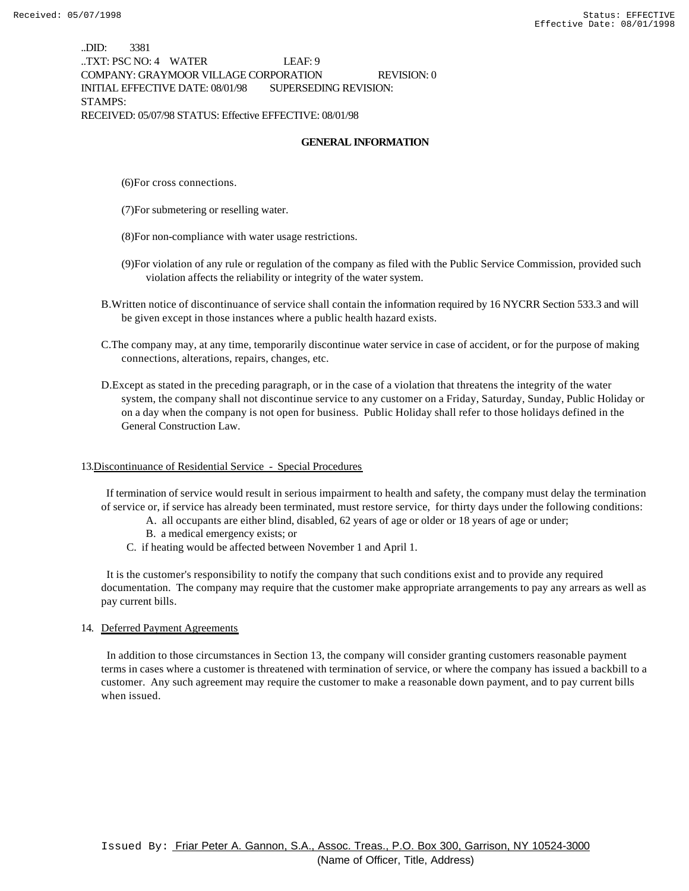..DID: 3381 ..TXT: PSC NO: 4 WATER LEAF: 9 COMPANY: GRAYMOOR VILLAGE CORPORATION REVISION: 0 INITIAL EFFECTIVE DATE: 08/01/98 SUPERSEDING REVISION: STAMPS: RECEIVED: 05/07/98 STATUS: Effective EFFECTIVE: 08/01/98

#### **GENERAL INFORMATION**

(6)For cross connections.

- (7)For submetering or reselling water.
- (8)For non-compliance with water usage restrictions.
- (9)For violation of any rule or regulation of the company as filed with the Public Service Commission, provided such violation affects the reliability or integrity of the water system.
- B.Written notice of discontinuance of service shall contain the information required by 16 NYCRR Section 533.3 and will be given except in those instances where a public health hazard exists.
- C.The company may, at any time, temporarily discontinue water service in case of accident, or for the purpose of making connections, alterations, repairs, changes, etc.
- D.Except as stated in the preceding paragraph, or in the case of a violation that threatens the integrity of the water system, the company shall not discontinue service to any customer on a Friday, Saturday, Sunday, Public Holiday or on a day when the company is not open for business. Public Holiday shall refer to those holidays defined in the General Construction Law.

#### 13.Discontinuance of Residential Service - Special Procedures

 If termination of service would result in serious impairment to health and safety, the company must delay the termination of service or, if service has already been terminated, must restore service, for thirty days under the following conditions:

- A. all occupants are either blind, disabled, 62 years of age or older or 18 years of age or under;
- B. a medical emergency exists; or
- C. if heating would be affected between November 1 and April 1.

 It is the customer's responsibility to notify the company that such conditions exist and to provide any required documentation. The company may require that the customer make appropriate arrangements to pay any arrears as well as pay current bills.

#### 14. Deferred Payment Agreements

 In addition to those circumstances in Section 13, the company will consider granting customers reasonable payment terms in cases where a customer is threatened with termination of service, or where the company has issued a backbill to a customer. Any such agreement may require the customer to make a reasonable down payment, and to pay current bills when issued.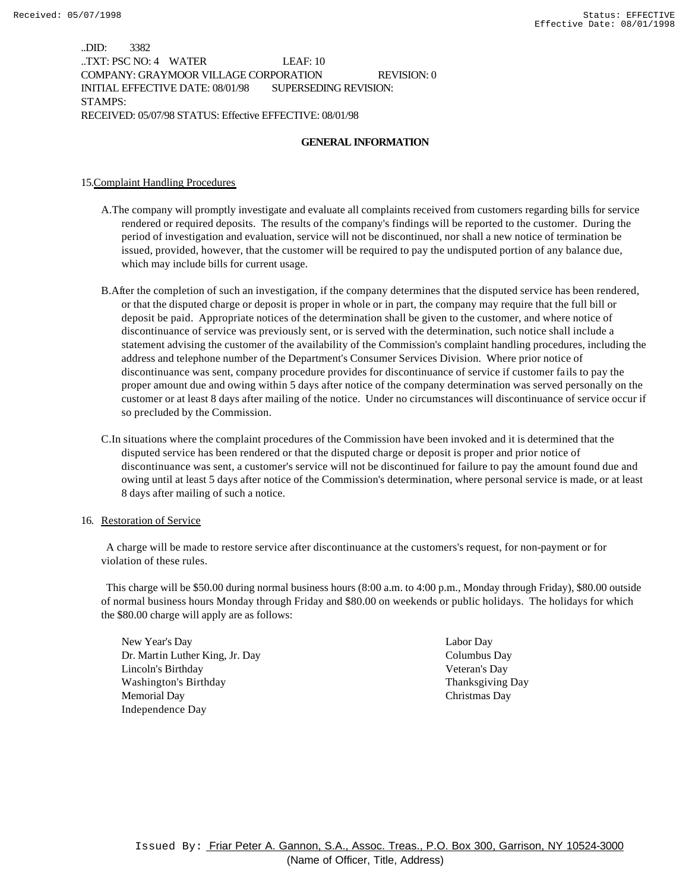..DID: 3382 ..TXT: PSC NO: 4 WATER LEAF: 10 COMPANY: GRAYMOOR VILLAGE CORPORATION REVISION: 0 INITIAL EFFECTIVE DATE: 08/01/98 SUPERSEDING REVISION: STAMPS: RECEIVED: 05/07/98 STATUS: Effective EFFECTIVE: 08/01/98

### **GENERAL INFORMATION**

#### 15.Complaint Handling Procedures

- A.The company will promptly investigate and evaluate all complaints received from customers regarding bills for service rendered or required deposits. The results of the company's findings will be reported to the customer. During the period of investigation and evaluation, service will not be discontinued, nor shall a new notice of termination be issued, provided, however, that the customer will be required to pay the undisputed portion of any balance due, which may include bills for current usage.
- B.After the completion of such an investigation, if the company determines that the disputed service has been rendered, or that the disputed charge or deposit is proper in whole or in part, the company may require that the full bill or deposit be paid. Appropriate notices of the determination shall be given to the customer, and where notice of discontinuance of service was previously sent, or is served with the determination, such notice shall include a statement advising the customer of the availability of the Commission's complaint handling procedures, including the address and telephone number of the Department's Consumer Services Division. Where prior notice of discontinuance was sent, company procedure provides for discontinuance of service if customer fails to pay the proper amount due and owing within 5 days after notice of the company determination was served personally on the customer or at least 8 days after mailing of the notice. Under no circumstances will discontinuance of service occur if so precluded by the Commission.
- C.In situations where the complaint procedures of the Commission have been invoked and it is determined that the disputed service has been rendered or that the disputed charge or deposit is proper and prior notice of discontinuance was sent, a customer's service will not be discontinued for failure to pay the amount found due and owing until at least 5 days after notice of the Commission's determination, where personal service is made, or at least 8 days after mailing of such a notice.

#### 16. Restoration of Service

 A charge will be made to restore service after discontinuance at the customers's request, for non-payment or for violation of these rules.

 This charge will be \$50.00 during normal business hours (8:00 a.m. to 4:00 p.m., Monday through Friday), \$80.00 outside of normal business hours Monday through Friday and \$80.00 on weekends or public holidays. The holidays for which the \$80.00 charge will apply are as follows:

New Year's Day Labor Day Dr. Martin Luther King, Jr. Day Columbus Day Lincoln's Birthday Veteran's Day Washington's Birthday Thanksgiving Day Memorial Day Christmas Day Independence Day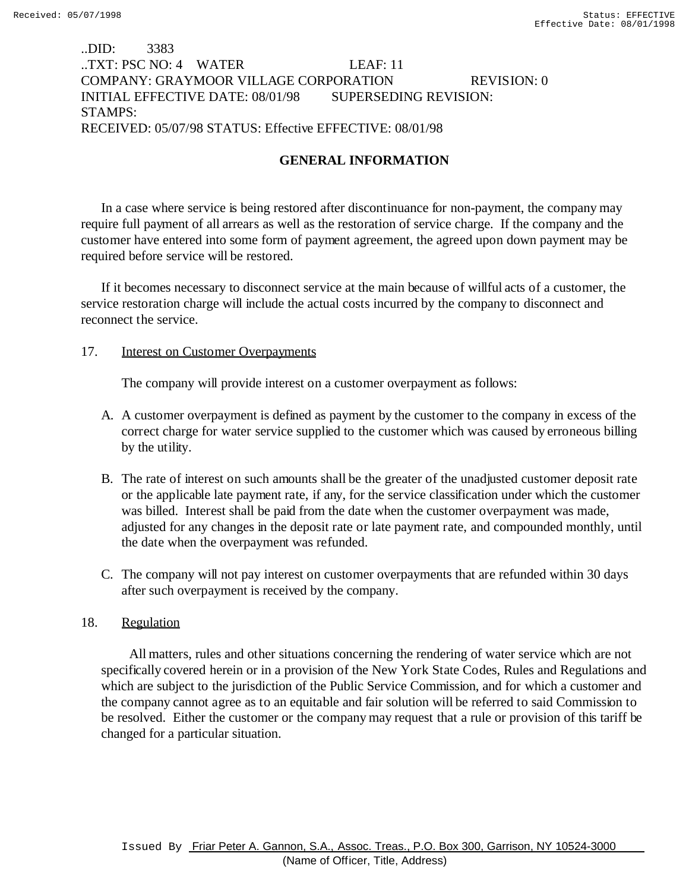## ..DID: 3383 ..TXT: PSC NO: 4 WATER LEAF: 11 COMPANY: GRAYMOOR VILLAGE CORPORATION REVISION: 0 INITIAL EFFECTIVE DATE: 08/01/98 SUPERSEDING REVISION: STAMPS: RECEIVED: 05/07/98 STATUS: Effective EFFECTIVE: 08/01/98

# **GENERAL INFORMATION**

In a case where service is being restored after discontinuance for non-payment, the company may require full payment of all arrears as well as the restoration of service charge. If the company and the customer have entered into some form of payment agreement, the agreed upon down payment may be required before service will be restored.

If it becomes necessary to disconnect service at the main because of willful acts of a customer, the service restoration charge will include the actual costs incurred by the company to disconnect and reconnect the service.

### 17. **Interest on Customer Overpayments**

The company will provide interest on a customer overpayment as follows:

- A. A customer overpayment is defined as payment by the customer to the company in excess of the correct charge for water service supplied to the customer which was caused by erroneous billing by the utility.
- B. The rate of interest on such amounts shall be the greater of the unadjusted customer deposit rate or the applicable late payment rate, if any, for the service classification under which the customer was billed. Interest shall be paid from the date when the customer overpayment was made, adjusted for any changes in the deposit rate or late payment rate, and compounded monthly, until the date when the overpayment was refunded.
- C. The company will not pay interest on customer overpayments that are refunded within 30 days after such overpayment is received by the company.

## 18. Regulation

 All matters, rules and other situations concerning the rendering of water service which are not specifically covered herein or in a provision of the New York State Codes, Rules and Regulations and which are subject to the jurisdiction of the Public Service Commission, and for which a customer and the company cannot agree as to an equitable and fair solution will be referred to said Commission to be resolved. Either the customer or the company may request that a rule or provision of this tariff be changed for a particular situation.